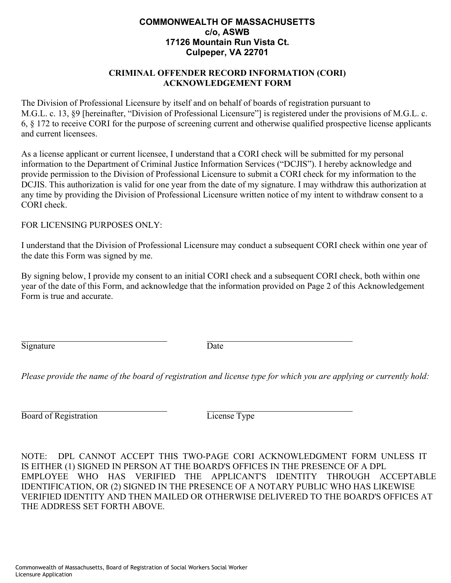## **COMMONWEALTH OF MASSACHUSETTS c/o, ASWB 17126 Mountain Run Vista Ct. Culpeper, VA 22701**

## **CRIMINAL OFFENDER RECORD INFORMATION (CORI) ACKNOWLEDGEMENT FORM**

The Division of Professional Licensure by itself and on behalf of boards of registration pursuant to M.G.L. c. 13, §9 [hereinafter, "Division of Professional Licensure"] is registered under the provisions of M.G.L. c. 6, § 172 to receive CORI for the purpose of screening current and otherwise qualified prospective license applicants and current licensees.

As a license applicant or current licensee, I understand that a CORI check will be submitted for my personal information to the Department of Criminal Justice Information Services ("DCJIS"). I hereby acknowledge and provide permission to the Division of Professional Licensure to submit a CORI check for my information to the DCJIS. This authorization is valid for one year from the date of my signature. I may withdraw this authorization at any time by providing the Division of Professional Licensure written notice of my intent to withdraw consent to a CORI check.

FOR LICENSING PURPOSES ONLY:

I understand that the Division of Professional Licensure may conduct a subsequent CORI check within one year of the date this Form was signed by me.

By signing below, I provide my consent to an initial CORI check and a subsequent CORI check, both within one year of the date of this Form, and acknowledge that the information provided on Page 2 of this Acknowledgement Form is true and accurate.

Signature Date

*Please provide the name of the board of registration and license type for which you are applying or currently hold:* 

Board of Registration License Type

NOTE: DPL CANNOT ACCEPT THIS TWO-PAGE CORI ACKNOWLEDGMENT FORM UNLESS IT IS EITHER (1) SIGNED IN PERSON AT THE BOARD'S OFFICES IN THE PRESENCE OF A DPL EMPLOYEE WHO HAS VERIFIED THE APPLICANT'S IDENTITY THROUGH ACCEPTABLE IDENTIFICATION, OR (2) SIGNED IN THE PRESENCE OF A NOTARY PUBLIC WHO HAS LIKEWISE VERIFIED IDENTITY AND THEN MAILED OR OTHERWISE DELIVERED TO THE BOARD'S OFFICES AT THE ADDRESS SET FORTH ABOVE.